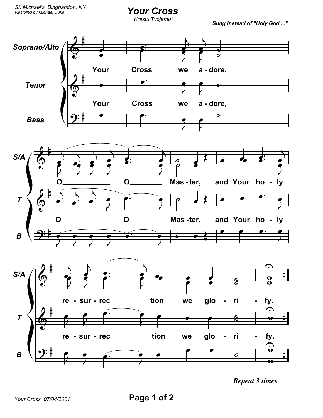## **Your Cross**

"Krestu Tvojemu"

Sung instead of "Holy God...."



**Repeat 3 times**